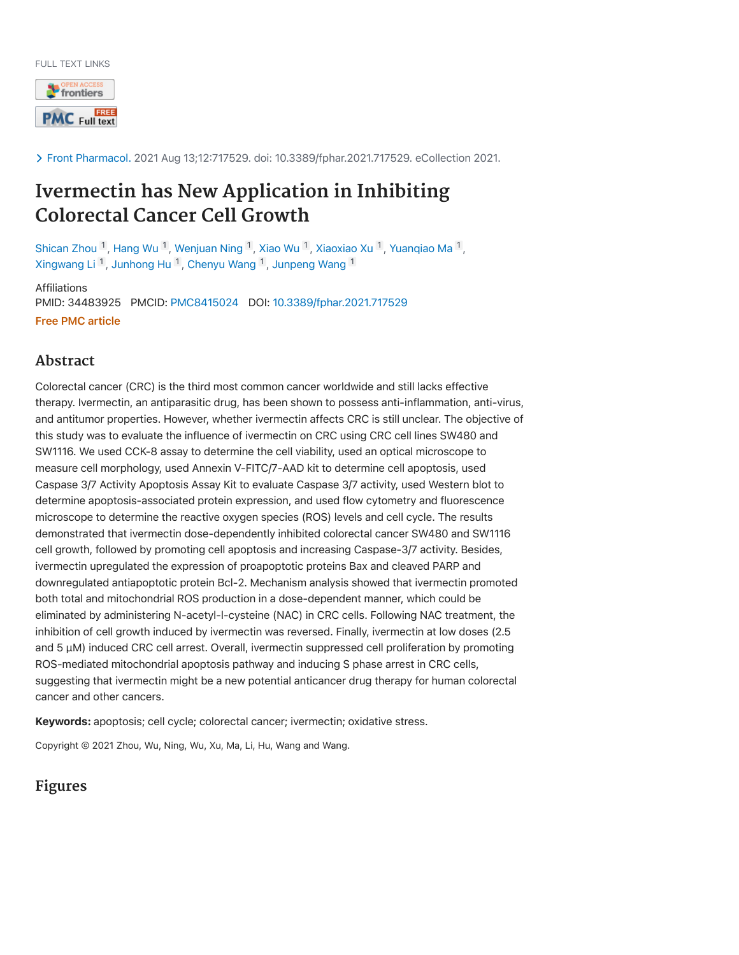FULL TEXT LINKS



Front Pharmacol. 2021 Aug 13;12:717529. doi: 10.3389/fphar.2021.717529. eCollection 2021.

# **Ivermectin has New Application in Inhibiting Colorectal Cancer Cell Growth**

Shican Zhou  $^1$ , Hang Wu  $^1$ , Wenjuan Ning  $^1$ , Xiao Wu  $^1$ , Xiaoxiao Xu  $^1$ , Yuanqiao Ma  $^1$ , Xingwang Li <sup>1</sup>, Junhong Hu <sup>1</sup>, Chenyu Wang <sup>1</sup>, Junpeng Wang <sup>1</sup>

Affiliations PMID: 34483925 PMCID: PMC8415024 DOI: 10.3389/fphar.2021.717529 Free PMC article

# **Abstract**

Colorectal cancer (CRC) is the third most common cancer worldwide and still lacks effective therapy. Ivermectin, an antiparasitic drug, has been shown to possess anti-inflammation, anti-virus, and antitumor properties. However, whether ivermectin affects CRC is still unclear. The objective of this study was to evaluate the influence of ivermectin on CRC using CRC cell lines SW480 and SW1116. We used CCK-8 assay to determine the cell viability, used an optical microscope to measure cell morphology, used Annexin V-FITC/7-AAD kit to determine cell apoptosis, used Caspase 3/7 Activity Apoptosis Assay Kit to evaluate Caspase 3/7 activity, used Western blot to determine apoptosis-associated protein expression, and used flow cytometry and fluorescence microscope to determine the reactive oxygen species (ROS) levels and cell cycle. The results demonstrated that ivermectin dose-dependently inhibited colorectal cancer SW480 and SW1116 cell growth, followed by promoting cell apoptosis and increasing Caspase-3/7 activity. Besides, ivermectin upregulated the expression of proapoptotic proteins Bax and cleaved PARP and downregulated antiapoptotic protein Bcl-2. Mechanism analysis showed that ivermectin promoted both total and mitochondrial ROS production in a dose-dependent manner, which could be eliminated by administering N-acetyl-l-cysteine (NAC) in CRC cells. Following NAC treatment, the inhibition of cell growth induced by ivermectin was reversed. Finally, ivermectin at low doses (2.5 and 5 µM) induced CRC cell arrest. Overall, ivermectin suppressed cell proliferation by promoting ROS-mediated mitochondrial apoptosis pathway and inducing S phase arrest in CRC cells, suggesting that ivermectin might be a new potential anticancer drug therapy for human colorectal cancer and other cancers.

Keywords: apoptosis; cell cycle; colorectal cancer; ivermectin; oxidative stress.

Copyright © 2021 Zhou, Wu, Ning, Wu, Xu, Ma, Li, Hu, Wang and Wang.

**Figures**